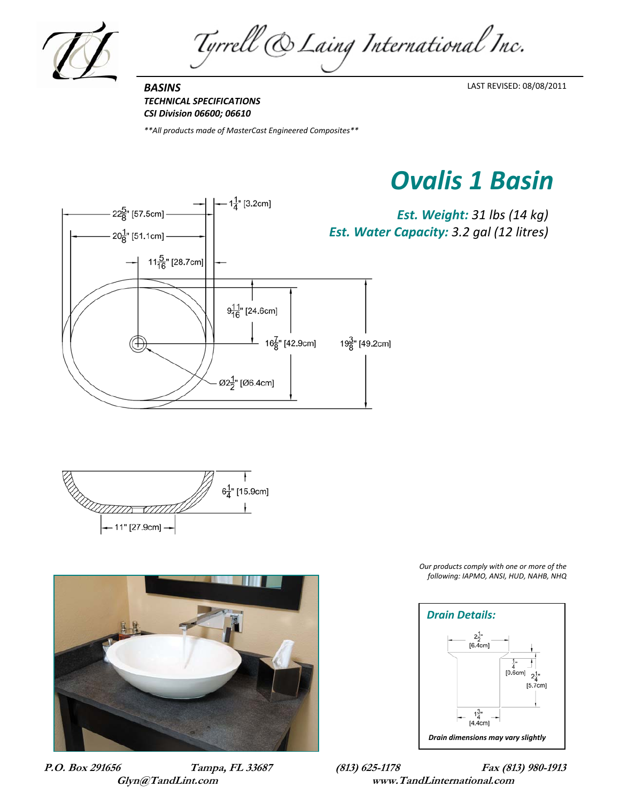

Tyrrell & Laing International Inc.

*BASINS TECHNICAL SPECIFICATIONS CSI Division 06600; 06610*

*\*\*All products made of MasterCast Engineered Composites\*\**

*Ovalis 1 Basin*



 $6\frac{1}{4}$ " [15.9cm] – 11" [27.9<mark>cm] →</mark>



**P.O. Box 291656 Tampa, FL 33687 (813) 625-1178 Fax (813) 980-1913** 

*Our products comply with one or more of the following: IAPMO, ANSI, HUD, NAHB, NHQ*



**Glyn@TandLint.com www.TandLinternational.com**

LAST REVISED: 08/08/2011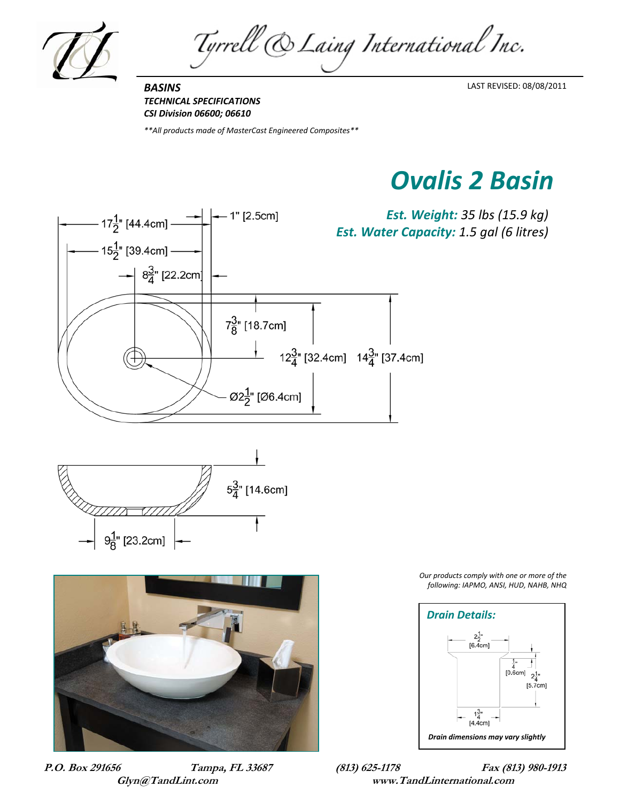

Tyrrell & Laing International Inc.

*BASINS TECHNICAL SPECIFICATIONS CSI Division 06600; 06610*

*\*\*All products made of MasterCast Engineered Composites\*\**

## *Ovalis 2 Basin*

LAST REVISED: 08/08/2011







*Our products comply with one or more of the following: IAPMO, ANSI, HUD, NAHB, NHQ*



**P.O. Box 291656 Tampa, FL 33687 (813) 625-1178 Fax (813) 980-1913 Glyn@TandLint.com www.TandLinternational.com**